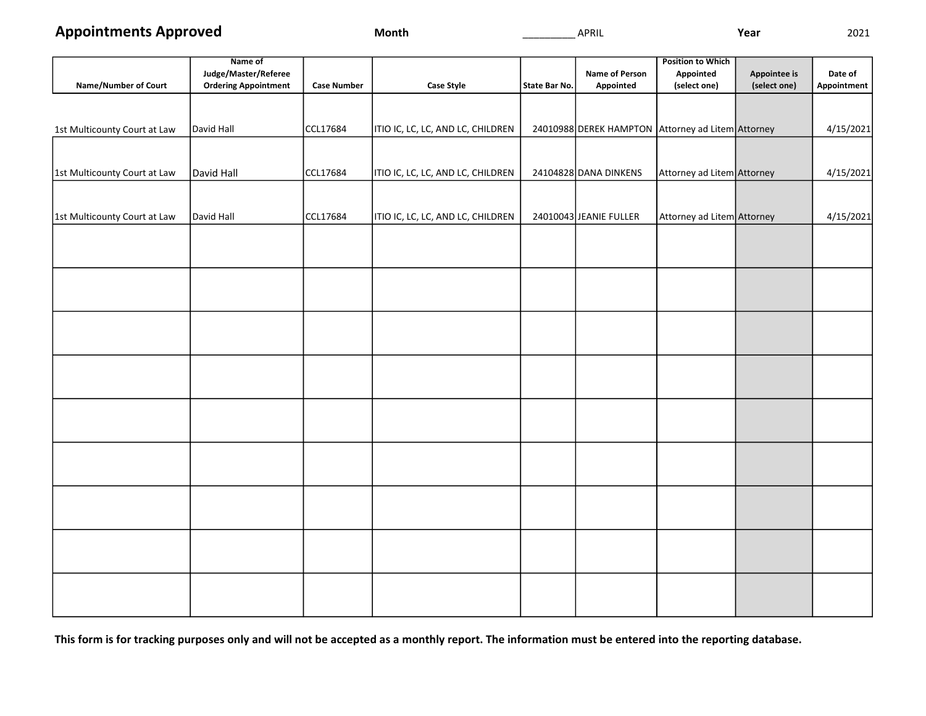| <b>Appointments Approved</b> | Month | <b>APRIL</b> | Year | 2021 |
|------------------------------|-------|--------------|------|------|
|------------------------------|-------|--------------|------|------|

| Name of                      |                             |                    | <b>Position to Which</b>          |               |                                                   |                            |              |             |  |  |  |
|------------------------------|-----------------------------|--------------------|-----------------------------------|---------------|---------------------------------------------------|----------------------------|--------------|-------------|--|--|--|
|                              | Judge/Master/Referee        |                    |                                   |               | Name of Person                                    | Appointed                  | Appointee is | Date of     |  |  |  |
| Name/Number of Court         | <b>Ordering Appointment</b> | <b>Case Number</b> | <b>Case Style</b>                 | State Bar No. | Appointed                                         | (select one)               | (select one) | Appointment |  |  |  |
|                              |                             |                    |                                   |               |                                                   |                            |              |             |  |  |  |
|                              |                             |                    |                                   |               |                                                   |                            |              |             |  |  |  |
| 1st Multicounty Court at Law | David Hall                  | CCL17684           | ITIO IC, LC, LC, AND LC, CHILDREN |               | 24010988 DEREK HAMPTON Attorney ad Litem Attorney |                            |              | 4/15/2021   |  |  |  |
|                              |                             |                    |                                   |               |                                                   |                            |              |             |  |  |  |
|                              |                             |                    |                                   |               |                                                   |                            |              |             |  |  |  |
| 1st Multicounty Court at Law | David Hall                  | CCL17684           | ITIO IC, LC, LC, AND LC, CHILDREN |               | 24104828 DANA DINKENS                             | Attorney ad Litem Attorney |              | 4/15/2021   |  |  |  |
|                              |                             |                    |                                   |               |                                                   |                            |              |             |  |  |  |
|                              |                             |                    |                                   |               |                                                   |                            |              |             |  |  |  |
| 1st Multicounty Court at Law | David Hall                  | CCL17684           | ITIO IC, LC, LC, AND LC, CHILDREN |               | 24010043 JEANIE FULLER                            | Attorney ad Litem Attorney |              | 4/15/2021   |  |  |  |
|                              |                             |                    |                                   |               |                                                   |                            |              |             |  |  |  |
|                              |                             |                    |                                   |               |                                                   |                            |              |             |  |  |  |
|                              |                             |                    |                                   |               |                                                   |                            |              |             |  |  |  |
|                              |                             |                    |                                   |               |                                                   |                            |              |             |  |  |  |
|                              |                             |                    |                                   |               |                                                   |                            |              |             |  |  |  |
|                              |                             |                    |                                   |               |                                                   |                            |              |             |  |  |  |
|                              |                             |                    |                                   |               |                                                   |                            |              |             |  |  |  |
|                              |                             |                    |                                   |               |                                                   |                            |              |             |  |  |  |
|                              |                             |                    |                                   |               |                                                   |                            |              |             |  |  |  |
|                              |                             |                    |                                   |               |                                                   |                            |              |             |  |  |  |
|                              |                             |                    |                                   |               |                                                   |                            |              |             |  |  |  |
|                              |                             |                    |                                   |               |                                                   |                            |              |             |  |  |  |
|                              |                             |                    |                                   |               |                                                   |                            |              |             |  |  |  |
|                              |                             |                    |                                   |               |                                                   |                            |              |             |  |  |  |
|                              |                             |                    |                                   |               |                                                   |                            |              |             |  |  |  |
|                              |                             |                    |                                   |               |                                                   |                            |              |             |  |  |  |
|                              |                             |                    |                                   |               |                                                   |                            |              |             |  |  |  |
|                              |                             |                    |                                   |               |                                                   |                            |              |             |  |  |  |
|                              |                             |                    |                                   |               |                                                   |                            |              |             |  |  |  |
|                              |                             |                    |                                   |               |                                                   |                            |              |             |  |  |  |
|                              |                             |                    |                                   |               |                                                   |                            |              |             |  |  |  |
|                              |                             |                    |                                   |               |                                                   |                            |              |             |  |  |  |
|                              |                             |                    |                                   |               |                                                   |                            |              |             |  |  |  |
|                              |                             |                    |                                   |               |                                                   |                            |              |             |  |  |  |
|                              |                             |                    |                                   |               |                                                   |                            |              |             |  |  |  |
|                              |                             |                    |                                   |               |                                                   |                            |              |             |  |  |  |
|                              |                             |                    |                                   |               |                                                   |                            |              |             |  |  |  |

This form is for tracking purposes only and will not be accepted as a monthly report. The information must be entered into the reporting database.